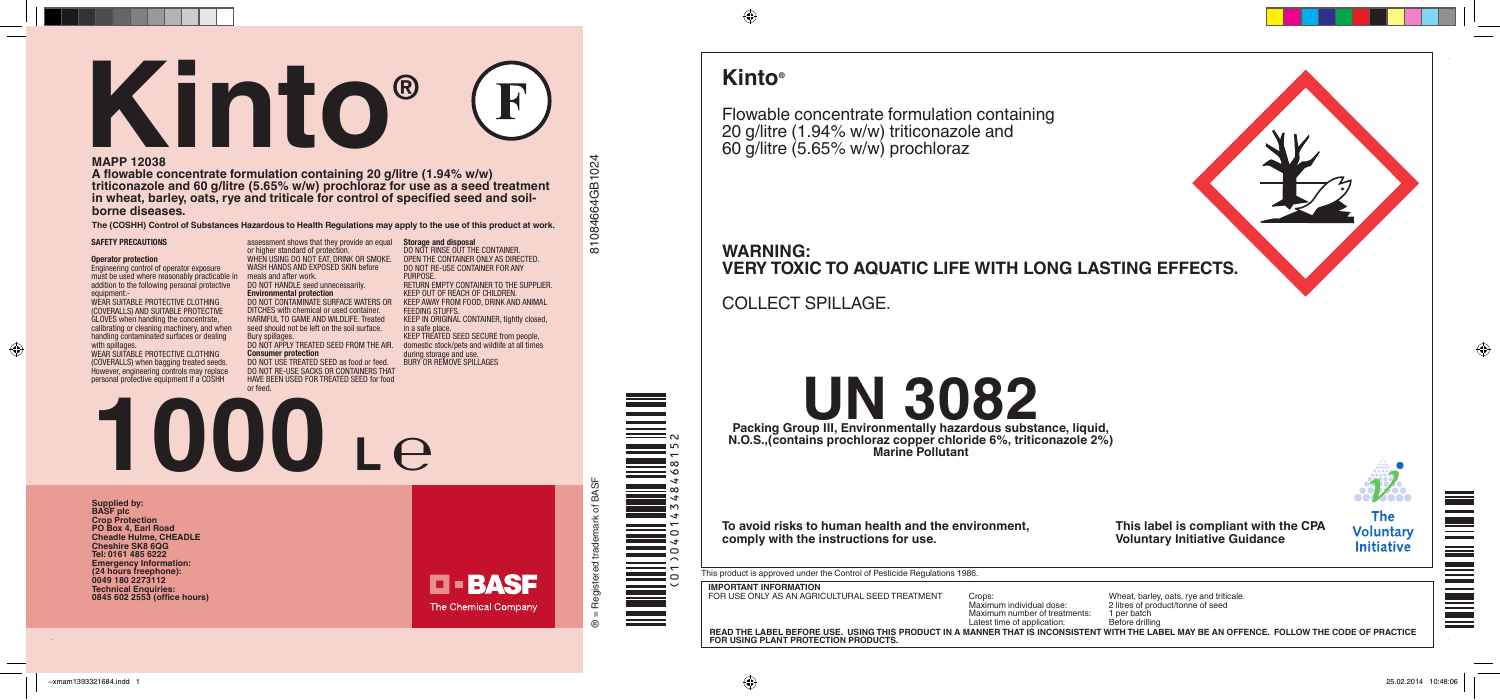#### **SAFETY PRECAUTIONS**

#### **Operator protection**

⊕

WEAR SUITABLE PROTECTIVE CLOTHING (COVERALLS) AND SUITABLE PROTECTIVE GLOVES when handling the concentrate, calibrating or cleaning machinery, and when handling contaminated surfaces or dealing with spillages.

Engineering control of operator exposure must be used where reasonably practicable in meals and after work. addition to the following personal protective equipment:-

WEAR SUITABLE PROTECTIVE CLOTHING (COVERALLS) when bagging treated seeds. However, engineering controls may replace personal protective equipment if a COSHH

assessment shows that they provide an equal **Storage and disposal** or higher standard of protection. WHEN USING DO NOT EAT, DRINK OR SMOKE. WASH HANDS AND EXPOSED SKIN before DO NOT HANDLE seed unnecessarily. **Environmental protection**

DO NOT RINSE OUT THE CONTAINER. OPEN THE CONTAINER ONLY AS DIRECTED. DO NOT RE-USE CONTAINER FOR ANY **PURPOSE** RETURN EMPTY CONTAINER TO THE SUPPLIER. KEEP OUT OF REACH OF CHILDREN. KEEP AWAY FROM FOOD, DRINK AND ANIMA **FEEDING STUFFS** KEEP IN ORIGINAL CONTAINER, tightly closed in a safe place. KEEP TREATED SEED SECURE from people, domestic stock/pets and wildlife at all times

# DO NOT CONTAMINATE SURFACE WATERS OR

DITCHES with chemical or used container. HARMFUL TO GAME AND WILDLIFE. Treated seed should not be left on the soil surface. Bury spillages.

DO NOT APPLY TREATED SEED FROM THE AIR. **Consumer protection**

DO NOT USE TREATED SEED as food or feed. DO NOT RE-USE SACKS OR CONTAINERS THAT HAVE BEEN USED FOR TREATED SEED for food or feed.

Packing Group III, Environmentally hazardous substance, liquid, **UN 3082 N.O.S.,(contains prochloraz copper chloride 6%, triticonazole 2%) Marine Pollutant**

**Supplied by: BASF plc Crop Protection PO Box 4, Earl Road Cheadle Hulme, CHEADLE Cheshire SK8 6QG Tel: 0161 485 6222 Emergency Information: (24 hours freephone): 0049 180 2273112 Technical Enquiries: 1000** Le

during storage and use. BURY OR REMOVE SPILLAGES

# **MAPP 12038**

**A flowable concentrate formulation containing 20 g/litre (1.94% w/w) triticonazole and 60 g/litre (5.65% w/w) prochloraz for use as a seed treatment in wheat, barley, oats, rye and triticale for control of specified seed and soilborne diseases.**

# **Kinto®**

Flowable concentrate formulation containing 20 g/litre (1.94% w/w) triticonazole and 60 g/litre (5.65% w/w) prochloraz

# **WARNING: VERY TOXIC TO AQUATIC LIFE WITH LONG LASTING EFFECTS.**

COLLECT SPILLAGE.



 $\bigoplus$ 

**0845 602 2553 (office hours)**

**D-BASF** The Chemical Company

084664GB1024  $\circledast$  = Registered trademark of BASF  $81084664$ GB1 $024$  $\overline{5}$ 

of BASF

**The (COSHH) Control of Substances Hazardous to Health Regulations may apply to the use of this product at work.**

**To avoid risks to human health and the environment, comply with the instructions for use.**

This product is approved under the Control of Pesticide Regulations 1986.

**IMPORTANT INFORMATION**

**READ THE LABEL BEFORE USE. USING THIS PRODUCT IN A MANNER THAT IS INCONSISTENT WITH THE LABEL MAY BE AN OFFENCE. FOLLOW THE CODE OF PRACTICE FOR USING PLANT PROTECTION PRODUCTS.**



(01)04014348468152

FOR USE ONLY AS AN AGRICULTURAL SEED TREATMENT Crops:<br>Maximum individual dose:

Maximum number of treatments: 1 per batch<br>
Latest time of application: Before drilling Latest time of application: